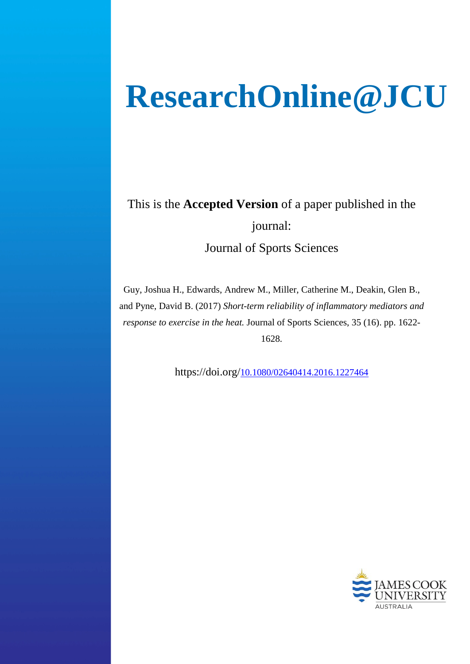# **ResearchOnline@JCU**

This is the **Accepted Version** of a paper published in the journal: Journal of Sports Sciences

Guy, Joshua H., Edwards, Andrew M., Miller, Catherine M., Deakin, Glen B., and Pyne, David B. (2017) *Short-term reliability of inflammatory mediators and response to exercise in the heat.* Journal of Sports Sciences, 35 (16). pp. 1622- 1628.

https://doi.org[/10.1080/02640414.2016.1227464](http://dx.doi.org/10.1080/02640414.2016.1227464)

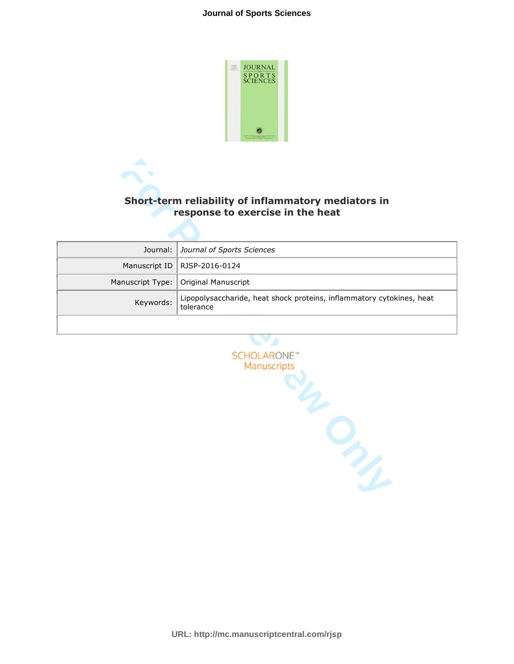#### **Journal of Sports Sciences**



## **response to exercise in the heat**

|                  | Short-term reliability of inflammatory mediators in<br>response to exercise in the heat |
|------------------|-----------------------------------------------------------------------------------------|
|                  |                                                                                         |
| Journal:         | Journal of Sports Sciences                                                              |
| Manuscript ID    | RJSP-2016-0124                                                                          |
| Manuscript Type: | Original Manuscript                                                                     |
| Keywords:        | Lipopolysaccharide, heat shock proteins, inflammatory cytokines, heat<br>tolerance      |
|                  |                                                                                         |
|                  | <b>SCHOLARONE™</b><br>Manuscripts                                                       |



**URL: http://mc.manuscriptcentral.com/rjsp**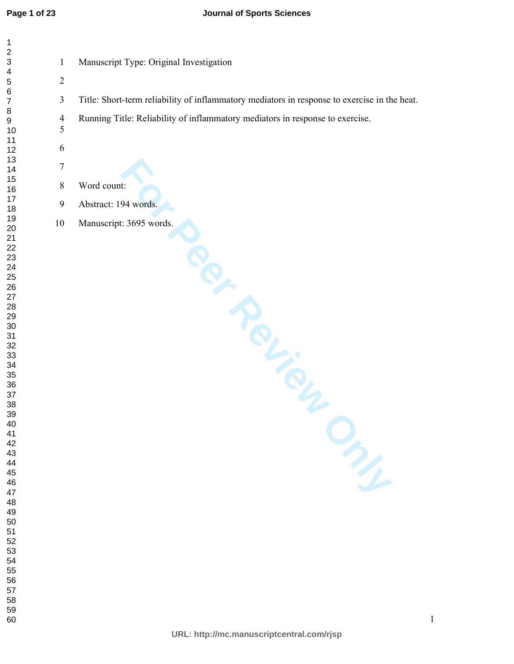| $\mathbf{1}$     | Manuscript Type: Original Investigation                                                      |
|------------------|----------------------------------------------------------------------------------------------|
| $\overline{2}$   |                                                                                              |
| $\mathfrak{Z}$   | Title: Short-term reliability of inflammatory mediators in response to exercise in the heat. |
| $\overline{4}$   | Running Title: Reliability of inflammatory mediators in response to exercise.                |
| 5                |                                                                                              |
| $\sqrt{6}$       |                                                                                              |
| $\boldsymbol{7}$ |                                                                                              |
| $\,8\,$          | Word count:                                                                                  |
| $\overline{9}$   | Abstract: 194 words.                                                                         |
| $10\,$           | Manuscript: 3695 words.                                                                      |
|                  | TOL-SOL<br>m                                                                                 |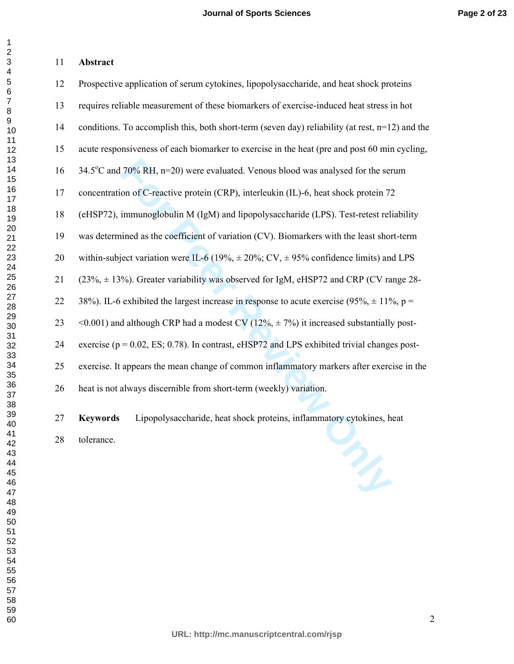#### **Abstract**

| 12 | Prospective application of serum cytokines, lipopolysaccharide, and heat shock proteins            |
|----|----------------------------------------------------------------------------------------------------|
| 13 | requires reliable measurement of these biomarkers of exercise-induced heat stress in hot           |
| 14 | conditions. To accomplish this, both short-term (seven day) reliability (at rest, $n=12$ ) and the |
| 15 | acute responsiveness of each biomarker to exercise in the heat (pre and post 60 min cycling,       |
| 16 | 34.5°C and 70% RH, n=20) were evaluated. Venous blood was analysed for the serum                   |
| 17 | concentration of C-reactive protein (CRP), interleukin (IL)-6, heat shock protein 72               |
| 18 | (eHSP72), immunoglobulin M (IgM) and lipopolysaccharide (LPS). Test-retest reliability             |
| 19 | was determined as the coefficient of variation (CV). Biomarkers with the least short-term          |
| 20 | within-subject variation were IL-6 (19%, $\pm$ 20%; CV, $\pm$ 95% confidence limits) and LPS       |
| 21 | $(23\%, \pm 13\%)$ . Greater variability was observed for IgM, eHSP72 and CRP (CV range 28-        |
| 22 | 38%). IL-6 exhibited the largest increase in response to acute exercise (95%, $\pm$ 11%, p =       |
| 23 | <0.001) and although CRP had a modest CV ( $12\%$ , $\pm$ 7%) it increased substantially post-     |
| 24 | exercise ( $p = 0.02$ , ES; 0.78). In contrast, eHSP72 and LPS exhibited trivial changes post-     |
| 25 | exercise. It appears the mean change of common inflammatory markers after exercise in the          |
| 26 | heat is not always discernible from short-term (weekly) variation.                                 |
| 27 | Lipopolysaccharide, heat shock proteins, inflammatory cytokines, heat<br><b>Keywords</b>           |
| 28 | tolerance.                                                                                         |
|    | m                                                                                                  |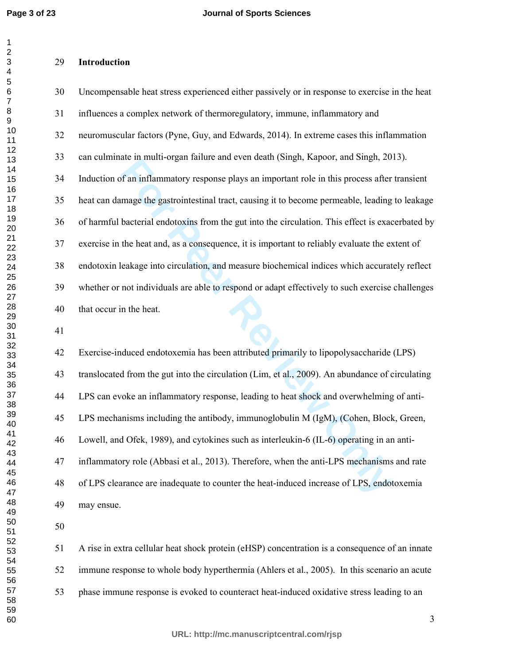#### **Introduction**

ate in inditi-organ rannic and even dean (singit, Rapoot, and singit, 20<br>
of an inflammatory response plays an important role in this process after<br>
mage the gastrointestinal tract, causing it to become permeable, leading<br> 30 Uncompensable heat stress experienced either passively or in response to exercise in the heat 31 influences a complex network of thermoregulatory, immune, inflammatory and 32 neuromuscular factors (Pyne, Guy, and Edwards, 2014). In extreme cases this inflammation 33 can culminate in multi-organ failure and even death (Singh, Kapoor, and Singh, 2013). 34 Induction of an inflammatory response plays an important role in this process after transient 35 heat can damage the gastrointestinal tract, causing it to become permeable, leading to leakage 36 of harmful bacterial endotoxins from the gut into the circulation. This effect is exacerbated by 37 exercise in the heat and, as a consequence, it is important to reliably evaluate the extent of 38 endotoxin leakage into circulation, and measure biochemical indices which accurately reflect 39 whether or not individuals are able to respond or adapt effectively to such exercise challenges 40 that occur in the heat.

42 Exercise-induced endotoxemia has been attributed primarily to lipopolysaccharide (LPS) 43 translocated from the gut into the circulation (Lim, et al., 2009). An abundance of circulating 44 LPS can evoke an inflammatory response, leading to heat shock and overwhelming of anti-45 LPS mechanisms including the antibody, immunoglobulin M (IgM), (Cohen, Block, Green, 46 Lowell, and Ofek, 1989), and cytokines such as interleukin-6 (IL-6) operating in an anti-47 inflammatory role (Abbasi et al., 2013). Therefore, when the anti-LPS mechanisms and rate 48 of LPS clearance are inadequate to counter the heat-induced increase of LPS, endotoxemia 49 may ensue.

51 A rise in extra cellular heat shock protein (eHSP) concentration is a consequence of an innate 52 immune response to whole body hyperthermia (Ahlers et al., 2005). In this scenario an acute 53 phase immune response is evoked to counteract heat-induced oxidative stress leading to an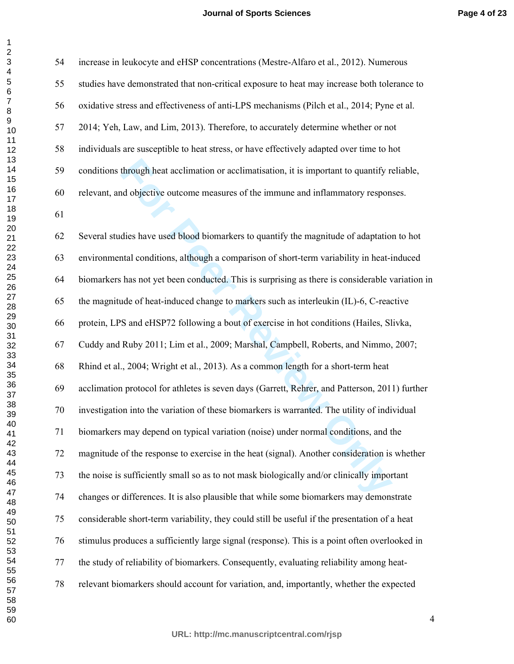#### **Journal of Sports Sciences**

| 54 | increase in leukocyte and eHSP concentrations (Mestre-Alfaro et al., 2012). Numerous            |
|----|-------------------------------------------------------------------------------------------------|
| 55 | studies have demonstrated that non-critical exposure to heat may increase both tolerance to     |
| 56 | oxidative stress and effectiveness of anti-LPS mechanisms (Pilch et al., 2014; Pyne et al.      |
| 57 | 2014; Yeh, Law, and Lim, 2013). Therefore, to accurately determine whether or not               |
| 58 | individuals are susceptible to heat stress, or have effectively adapted over time to hot        |
| 59 | conditions through heat acclimation or acclimatisation, it is important to quantify reliable,   |
| 60 | relevant, and objective outcome measures of the immune and inflammatory responses.              |
| 61 |                                                                                                 |
| 62 | Several studies have used blood biomarkers to quantify the magnitude of adaptation to hot       |
| 63 | environmental conditions, although a comparison of short-term variability in heat-induced       |
| 64 | biomarkers has not yet been conducted. This is surprising as there is considerable variation in |
| 65 | the magnitude of heat-induced change to markers such as interleukin (IL)-6, C-reactive          |
| 66 | protein, LPS and eHSP72 following a bout of exercise in hot conditions (Hailes, Slivka,         |
| 67 | Cuddy and Ruby 2011; Lim et al., 2009; Marshal, Campbell, Roberts, and Nimmo, 2007;             |
| 68 | Rhind et al., 2004; Wright et al., 2013). As a common length for a short-term heat              |
| 69 | acclimation protocol for athletes is seven days (Garrett, Rehrer, and Patterson, 2011) further  |
| 70 | investigation into the variation of these biomarkers is warranted. The utility of individual    |
| 71 | biomarkers may depend on typical variation (noise) under normal conditions, and the             |
| 72 | magnitude of the response to exercise in the heat (signal). Another consideration is whether    |
| 73 | the noise is sufficiently small so as to not mask biologically and/or clinically important      |
| 74 | changes or differences. It is also plausible that while some biomarkers may demonstrate         |
| 75 | considerable short-term variability, they could still be useful if the presentation of a heat   |
| 76 | stimulus produces a sufficiently large signal (response). This is a point often overlooked in   |
| 77 | the study of reliability of biomarkers. Consequently, evaluating reliability among heat-        |
| 78 | relevant biomarkers should account for variation, and, importantly, whether the expected        |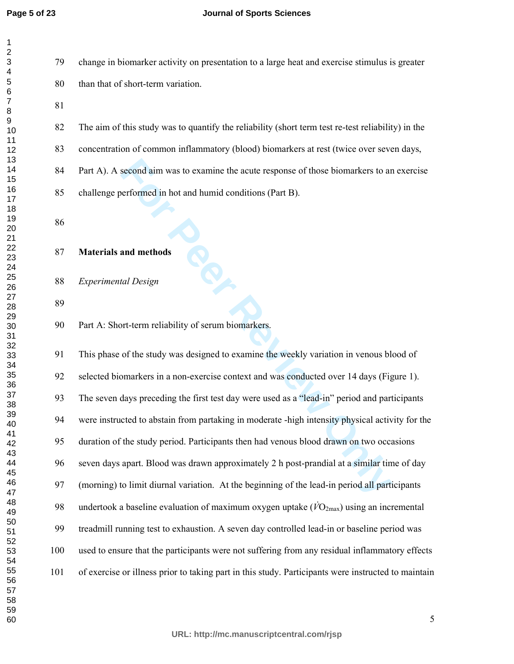#### **Journal of Sports Sciences**

79 change in biomarker activity on presentation to a large heat and exercise stimulus is greater 80 than that of short-term variation.

82 The aim of this study was to quantify the reliability (short term test re-test reliability) in the

83 concentration of common inflammatory (blood) biomarkers at rest (twice over seven days,

84 Part A). A second aim was to examine the acute response of those biomarkers to an exercise

85 challenge performed in hot and humid conditions (Part B).

#### **Materials and methods**

*Experimental Design* 

90 Part A: Short-term reliability of serum biomarkers.

second aim was to examine the acute response of those biomarkers to are<br>formed in hot and humid conditions (Part B).<br> **And methods**<br> **Formal methods**<br> **Formal methods**<br> **Formal methods**<br> **Formal methods**<br> **Formal methods**<br> 91 This phase of the study was designed to examine the weekly variation in venous blood of 92 selected biomarkers in a non-exercise context and was conducted over 14 days (Figure 1). 93 The seven days preceding the first test day were used as a "lead-in" period and participants 94 were instructed to abstain from partaking in moderate -high intensity physical activity for the 95 duration of the study period. Participants then had venous blood drawn on two occasions 96 seven days apart. Blood was drawn approximately 2 h post-prandial at a similar time of day 97 (morning) to limit diurnal variation. At the beginning of the lead-in period all participants 98 undertook a baseline evaluation of maximum oxygen uptake  $(\dot{V}O_{2\text{max}})$  using an incremental 99 treadmill running test to exhaustion. A seven day controlled lead-in or baseline period was 100 used to ensure that the participants were not suffering from any residual inflammatory effects 101 of exercise or illness prior to taking part in this study. Participants were instructed to maintain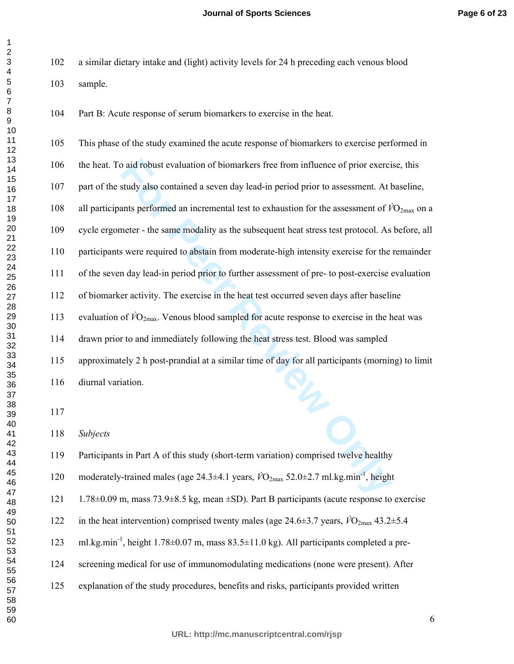102 a similar dietary intake and (light) activity levels for 24 h preceding each venous blood 103 sample.

104 Part B: Acute response of serum biomarkers to exercise in the heat.

o aid robust evaluation of biomarkers free from influence of prior exercity also contained a seven day lead-in period prior to assessment. At thats performed an incremental test to exhaustion for the assessment of  $\hat{V}$ 105 This phase of the study examined the acute response of biomarkers to exercise performed in 106 the heat. To aid robust evaluation of biomarkers free from influence of prior exercise, this 107 part of the study also contained a seven day lead-in period prior to assessment. At baseline, 108 all participants performed an incremental test to exhaustion for the assessment of  $\dot{V}O_{2\text{max}}$  on a 109 cycle ergometer - the same modality as the subsequent heat stress test protocol. As before, all 110 participants were required to abstain from moderate-high intensity exercise for the remainder 111 of the seven day lead-in period prior to further assessment of pre- to post-exercise evaluation 112 of biomarker activity. The exercise in the heat test occurred seven days after baseline 113 evaluation of  $\dot{V}O_{2\text{max}}$ . Venous blood sampled for acute response to exercise in the heat was 114 drawn prior to and immediately following the heat stress test. Blood was sampled 115 approximately 2 h post-prandial at a similar time of day for all participants (morning) to limit 116 diurnal variation. *Subjects*  119 Participants in Part A of this study (short-term variation) comprised twelve healthy 120 moderately-trained males (age  $24.3\pm4.1$  years,  $\dot{V}O_{2\text{max}}$  52.0 $\pm2.7$  ml.kg.min<sup>-1</sup>, height 121 1.78 $\pm$ 0.09 m, mass 73.9 $\pm$ 8.5 kg, mean  $\pm$ SD). Part B participants (acute response to exercise

122 in the heat intervention) comprised twenty males (age  $24.6\pm3.7$  years,  $\dot{V}O_{2\text{max}}$  43.2 $\pm5.4$ 

- 123 ml.kg.min<sup>-1</sup>, height 1.78 $\pm$ 0.07 m, mass 83.5 $\pm$ 11.0 kg). All participants completed a pre-
- 124 screening medical for use of immunomodulating medications (none were present). After
- 125 explanation of the study procedures, benefits and risks, participants provided written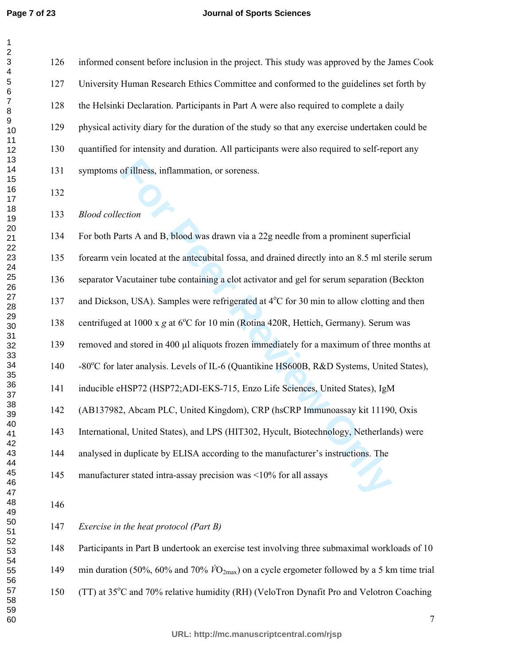#### **Journal of Sports Sciences**

126 informed consent before inclusion in the project. This study was approved by the James Cook 127 University Human Research Ethics Committee and conformed to the guidelines set forth by 128 the Helsinki Declaration. Participants in Part A were also required to complete a daily 129 physical activity diary for the duration of the study so that any exercise undertaken could be 130 quantified for intensity and duration. All participants were also required to self-report any 131 symptoms of illness, inflammation, or soreness.

*Blood collection* 

of illness, inflammation, or soreness.<br> **Formatic A and B**, blood was drawn via a 22g needle from a prominent super<br>
in located at the antecubital fossa, and drained directly into an 8.5 ml ste<br> *Facutainer* tube containin 134 For both Parts A and B, blood was drawn via a 22g needle from a prominent superficial 135 forearm vein located at the antecubital fossa, and drained directly into an 8.5 ml sterile serum 136 separator Vacutainer tube containing a clot activator and gel for serum separation (Beckton 137 and Dickson, USA). Samples were refrigerated at 4°C for 30 min to allow clotting and then 138 centrifuged at 1000 x g at 6°C for 10 min (Rotina 420R, Hettich, Germany). Serum was 139 removed and stored in 400 µl aliquots frozen immediately for a maximum of three months at 140 -80°C for later analysis. Levels of IL-6 (Quantikine HS600B, R&D Systems, United States), 141 inducible eHSP72 (HSP72;ADI-EKS-715, Enzo Life Sciences, United States), IgM 142 (AB137982, Abcam PLC, United Kingdom), CRP (hsCRP Immunoassay kit 11190, Oxis 143 International, United States), and LPS (HIT302, Hycult, Biotechnology, Netherlands) were 144 analysed in duplicate by ELISA according to the manufacturer's instructions. The 145 manufacturer stated intra-assay precision was <10% for all assays 

*Exercise in the heat protocol (Part B)* 

148 Participants in Part B undertook an exercise test involving three submaximal workloads of 10 149 min duration (50%, 60% and 70%  $\dot{V}O_{2\text{max}}$ ) on a cycle ergometer followed by a 5 km time trial

150 (TT) at 35°C and 70% relative humidity (RH) (VeloTron Dynafit Pro and Velotron Coaching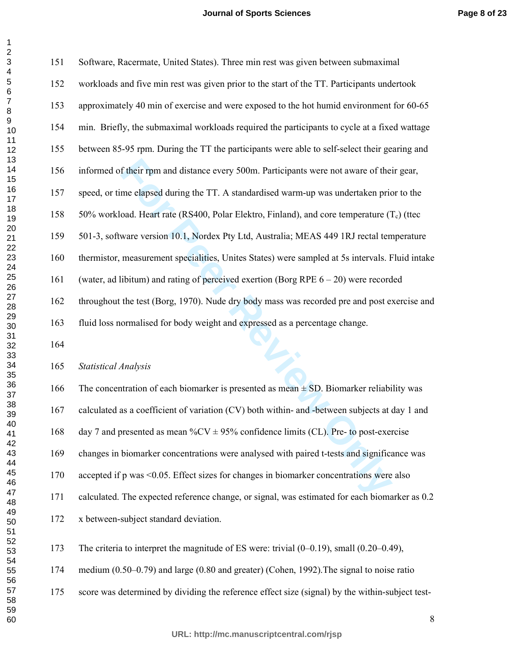| ۷               |  |
|-----------------|--|
| 3               |  |
| 4               |  |
| 5               |  |
|                 |  |
| 6               |  |
| 7               |  |
| 8               |  |
|                 |  |
| 9               |  |
| 10              |  |
| 11              |  |
| 12              |  |
|                 |  |
| 13              |  |
| 14              |  |
| 15              |  |
|                 |  |
| $\overline{16}$ |  |
| 17              |  |
| 18              |  |
|                 |  |
| 19<br>20<br>21  |  |
|                 |  |
|                 |  |
| 22<br>23        |  |
|                 |  |
| 24              |  |
|                 |  |
| 25              |  |
|                 |  |
| 26<br>27        |  |
| 28              |  |
|                 |  |
| 29              |  |
| 30              |  |
| 31              |  |
|                 |  |
| 32              |  |
| 33              |  |
| 34              |  |
| 35              |  |
|                 |  |
| 36              |  |
| 37              |  |
|                 |  |
| 38<br>39        |  |
| 40              |  |
|                 |  |
| 41              |  |
| 42              |  |
| 43              |  |
| 44              |  |
|                 |  |
| 45              |  |
| 46              |  |
| 47              |  |
|                 |  |
| 48              |  |
| 49              |  |
| 50              |  |
| 51              |  |
|                 |  |
| 52              |  |
| 53              |  |
| 54              |  |
| 55              |  |
|                 |  |
|                 |  |
| 56<br>57        |  |
| 58              |  |
| 59              |  |
|                 |  |
| 60              |  |

  $\sim$ 

| 151 | Software, Racermate, United States). Three min rest was given between submaximal                |
|-----|-------------------------------------------------------------------------------------------------|
| 152 | workloads and five min rest was given prior to the start of the TT. Participants undertook      |
| 153 | approximately 40 min of exercise and were exposed to the hot humid environment for 60-65        |
| 154 | min. Briefly, the submaximal workloads required the participants to cycle at a fixed wattage    |
| 155 | between 85-95 rpm. During the TT the participants were able to self-select their gearing and    |
| 156 | informed of their rpm and distance every 500m. Participants were not aware of their gear,       |
| 157 | speed, or time elapsed during the TT. A standardised warm-up was undertaken prior to the        |
| 158 | 50% workload. Heart rate (RS400, Polar Elektro, Finland), and core temperature $(T_c)$ (ttec    |
| 159 | 501-3, software version 10.1, Nordex Pty Ltd, Australia; MEAS 449 1RJ rectal temperature        |
| 160 | thermistor, measurement specialities, Unites States) were sampled at 5s intervals. Fluid intake |
| 161 | (water, ad libitum) and rating of perceived exertion (Borg RPE $6 - 20$ ) were recorded         |
| 162 | throughout the test (Borg, 1970). Nude dry body mass was recorded pre and post exercise and     |
| 163 | fluid loss normalised for body weight and expressed as a percentage change.                     |
| 164 |                                                                                                 |
| 165 | <b>Statistical Analysis</b>                                                                     |
| 166 | The concentration of each biomarker is presented as mean $\pm$ SD. Biomarker reliability was    |
| 167 | calculated as a coefficient of variation (CV) both within- and -between subjects at day 1 and   |
| 168 | day 7 and presented as mean $\%$ CV $\pm$ 95% confidence limits (CL). Pre- to post-exercise     |
| 169 | changes in biomarker concentrations were analysed with paired t-tests and significance was      |
| 170 | accepted if p was <0.05. Effect sizes for changes in biomarker concentrations were also         |
| 171 | calculated. The expected reference change, or signal, was estimated for each biomarker as 0.2   |

166 The concentration of each biomarker is presented as mean  $\pm$  SD. Biomarker reliability was 167 calculated as a coefficient of variation (CV) both within- and -between subjects at day 1 and 168 day 7 and presented as mean  $\%$ CV  $\pm$  95% confidence limits (CL). Pre- to post-exercise 169 changes in biomarker concentrations were analysed with paired t-tests and significance was 170 accepted if p was <0.05. Effect sizes for changes in biomarker concentrations were also 171 calculated. The expected reference change, or signal, was estimated for each biomarker as 0.2 172 x between-subject standard deviation.

173 The criteria to interpret the magnitude of ES were: trivial (0–0.19), small (0.20–0.49),

174 medium (0.50–0.79) and large (0.80 and greater) (Cohen, 1992).The signal to noise ratio

175 score was determined by dividing the reference effect size (signal) by the within-subject test-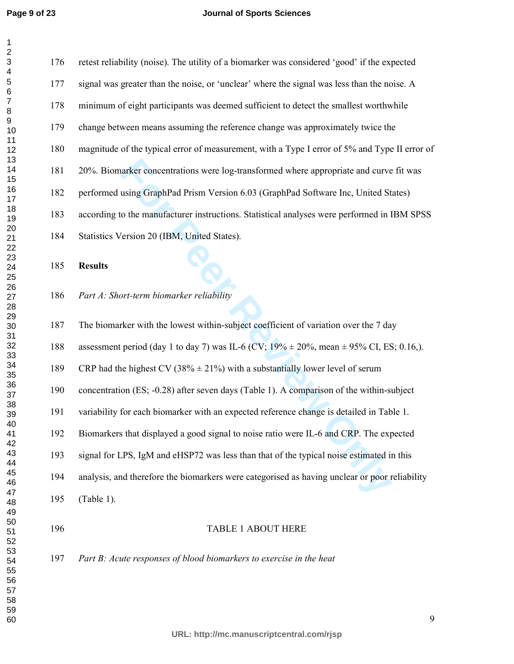#### **Journal of Sports Sciences**

arker concentrations were log-transformed where appropriate and curve<br>using GraphPad Prism Version 6.03 (GraphPad Software Inc, United St<br>o the manufacturer instructions. Statistical analyses were performed in I<br>ersion 20 176 retest reliability (noise). The utility of a biomarker was considered 'good' if the expected 177 signal was greater than the noise, or 'unclear' where the signal was less than the noise. A 178 minimum of eight participants was deemed sufficient to detect the smallest worthwhile 179 change between means assuming the reference change was approximately twice the 180 magnitude of the typical error of measurement, with a Type I error of 5% and Type II error of 181 20%. Biomarker concentrations were log-transformed where appropriate and curve fit was 182 performed using GraphPad Prism Version 6.03 (GraphPad Software Inc, United States) 183 according to the manufacturer instructions. Statistical analyses were performed in IBM SPSS 184 Statistics Version 20 (IBM, United States). **Results**  *Part A: Short-term biomarker reliability*  187 The biomarker with the lowest within-subject coefficient of variation over the 7 day 188 assessment period (day 1 to day 7) was IL-6 (CV;  $19\% \pm 20\%$ , mean  $\pm 95\%$  CI, ES; 0.16,). 189 CRP had the highest CV (38%  $\pm$  21%) with a substantially lower level of serum 190 concentration (ES; -0.28) after seven days (Table 1). A comparison of the within-subject 191 variability for each biomarker with an expected reference change is detailed in Table 1. 192 Biomarkers that displayed a good signal to noise ratio were IL-6 and CRP. The expected 193 signal for LPS, IgM and eHSP72 was less than that of the typical noise estimated in this 194 analysis, and therefore the biomarkers were categorised as having unclear or poor reliability

- 195 (Table 1).
- 

#### 196 TABLE 1 ABOUT HERE

*Part B: Acute responses of blood biomarkers to exercise in the heat*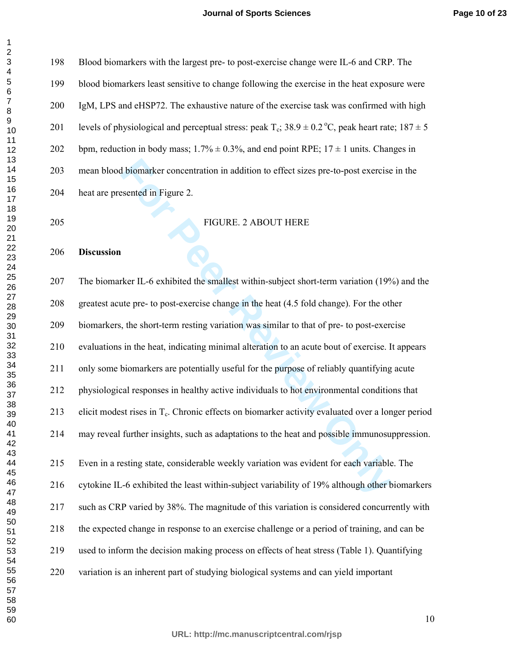#### **Journal of Sports Sciences**

| 198 | Blood biomarkers with the largest pre- to post-exercise change were IL-6 and CRP. The                        |
|-----|--------------------------------------------------------------------------------------------------------------|
| 199 | blood biomarkers least sensitive to change following the exercise in the heat exposure were                  |
| 200 | IgM, LPS and eHSP72. The exhaustive nature of the exercise task was confirmed with high                      |
| 201 | levels of physiological and perceptual stress: peak $T_c$ ; 38.9 $\pm$ 0.2 °C, peak heart rate; 187 $\pm$ 5  |
| 202 | bpm, reduction in body mass; $1.7\% \pm 0.3\%$ , and end point RPE; $17 \pm 1$ units. Changes in             |
| 203 | mean blood biomarker concentration in addition to effect sizes pre-to-post exercise in the                   |
| 204 | heat are presented in Figure 2.                                                                              |
| 205 | FIGURE. 2 ABOUT HERE                                                                                         |
| 206 | <b>Discussion</b>                                                                                            |
| 207 | The biomarker IL-6 exhibited the smallest within-subject short-term variation (19%) and the                  |
| 208 | greatest acute pre- to post-exercise change in the heat (4.5 fold change). For the other                     |
| 209 | biomarkers, the short-term resting variation was similar to that of pre- to post-exercise                    |
| 210 | evaluations in the heat, indicating minimal alteration to an acute bout of exercise. It appears              |
| 211 | only some biomarkers are potentially useful for the purpose of reliably quantifying acute                    |
| 212 | physiological responses in healthy active individuals to hot environmental conditions that                   |
| 213 | elicit modest rises in T <sub>c</sub> . Chronic effects on biomarker activity evaluated over a longer period |
| 214 | may reveal further insights, such as adaptations to the heat and possible immunosuppression.                 |
| 215 | Even in a resting state, considerable weekly variation was evident for each variable. The                    |
| 216 | cytokine IL-6 exhibited the least within-subject variability of 19% although other biomarkers                |
| 217 | such as CRP varied by 38%. The magnitude of this variation is considered concurrently with                   |
| 218 | the expected change in response to an exercise challenge or a period of training, and can be                 |
| 219 | used to inform the decision making process on effects of heat stress (Table 1). Quantifying                  |

- 220 variation is an inherent part of studying biological systems and can yield important
-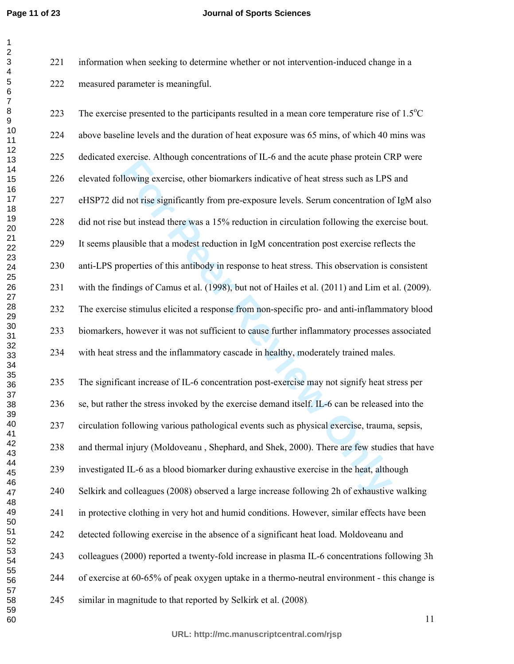**Page 11 of 23**

 

#### **Journal of Sports Sciences**

221 information when seeking to determine whether or not intervention-induced change in a 222 measured parameter is meaningful.

Extrists. Antiongin concentrations of H-0 and the active phase protein extrements.<br> **For Formal Extrime Extrime Extrimal Extringer State Instead there was a 15% reduction in circulation following the exert<br>
and the signifi** 223 The exercise presented to the participants resulted in a mean core temperature rise of  $1.5^{\circ}$ C 224 above baseline levels and the duration of heat exposure was 65 mins, of which 40 mins was 225 dedicated exercise. Although concentrations of IL-6 and the acute phase protein CRP were 226 elevated following exercise, other biomarkers indicative of heat stress such as LPS and 227 eHSP72 did not rise significantly from pre-exposure levels. Serum concentration of IgM also 228 did not rise but instead there was a 15% reduction in circulation following the exercise bout. 229 It seems plausible that a modest reduction in IgM concentration post exercise reflects the 230 anti-LPS properties of this antibody in response to heat stress. This observation is consistent 231 with the findings of Camus et al. (1998), but not of Hailes et al. (2011) and Lim et al. (2009). 232 The exercise stimulus elicited a response from non-specific pro- and anti-inflammatory blood 233 biomarkers, however it was not sufficient to cause further inflammatory processes associated 234 with heat stress and the inflammatory cascade in healthy, moderately trained males. 235 The significant increase of IL-6 concentration post-exercise may not signify heat stress per 236 se, but rather the stress invoked by the exercise demand itself. IL-6 can be released into the 237 circulation following various pathological events such as physical exercise, trauma, sepsis, 238 and thermal injury (Moldoveanu , Shephard, and Shek, 2000). There are few studies that have 239 investigated IL-6 as a blood biomarker during exhaustive exercise in the heat, although 240 Selkirk and colleagues (2008) observed a large increase following 2h of exhaustive walking 241 in protective clothing in very hot and humid conditions. However, similar effects have been 242 detected following exercise in the absence of a significant heat load. Moldoveanu and 243 colleagues (2000) reported a twenty-fold increase in plasma IL-6 concentrations following 3h

244 of exercise at 60-65% of peak oxygen uptake in a thermo-neutral environment - this change is

245 similar in magnitude to that reported by Selkirk et al. (2008).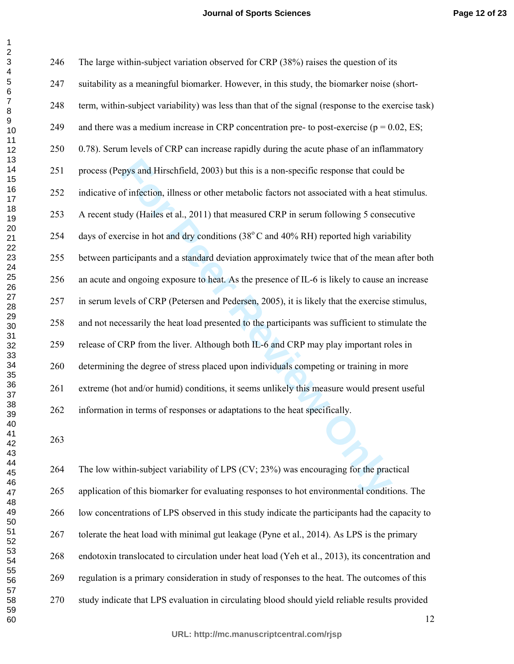#### **Journal of Sports Sciences**

**Page 12 of 23**

| 246 | The large within-subject variation observed for CRP (38%) raises the question of its               |
|-----|----------------------------------------------------------------------------------------------------|
| 247 | suitability as a meaningful biomarker. However, in this study, the biomarker noise (short-         |
| 248 | term, within-subject variability) was less than that of the signal (response to the exercise task) |
| 249 | and there was a medium increase in CRP concentration pre- to post-exercise ( $p = 0.02$ , ES;      |
| 250 | 0.78). Serum levels of CRP can increase rapidly during the acute phase of an inflammatory          |
| 251 | process (Pepys and Hirschfield, 2003) but this is a non-specific response that could be            |
| 252 | indicative of infection, illness or other metabolic factors not associated with a heat stimulus.   |
| 253 | A recent study (Hailes et al., 2011) that measured CRP in serum following 5 consecutive            |
| 254 | days of exercise in hot and dry conditions (38°C and 40% RH) reported high variability             |
| 255 | between participants and a standard deviation approximately twice that of the mean after both      |
| 256 | an acute and ongoing exposure to heat. As the presence of IL-6 is likely to cause an increase      |
| 257 | in serum levels of CRP (Petersen and Pedersen, 2005), it is likely that the exercise stimulus,     |
| 258 | and not necessarily the heat load presented to the participants was sufficient to stimulate the    |
| 259 | release of CRP from the liver. Although both IL-6 and CRP may play important roles in              |
| 260 | determining the degree of stress placed upon individuals competing or training in more             |
| 261 | extreme (hot and/or humid) conditions, it seems unlikely this measure would present useful         |
| 262 | information in terms of responses or adaptations to the heat specifically.                         |
| 263 |                                                                                                    |
| 264 | The low within-subject variability of LPS (CV; 23%) was encouraging for the practical              |
| 265 | application of this biomarker for evaluating responses to hot environmental conditions. The        |
| 266 | low concentrations of LPS observed in this study indicate the participants had the capacity to     |
| 267 | tolerate the heat load with minimal gut leakage (Pyne et al., 2014). As LPS is the primary         |
| 268 | endotoxin translocated to circulation under heat load (Yeh et al., 2013), its concentration and    |
| 269 | regulation is a primary consideration in study of responses to the heat. The outcomes of this      |
|     |                                                                                                    |

270 study indicate that LPS evaluation in circulating blood should yield reliable results provided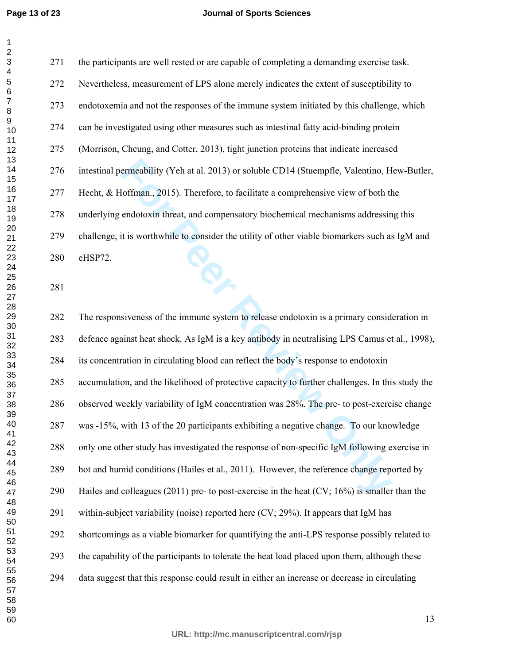#### **Journal of Sports Sciences**

271 the participants are well rested or are capable of completing a demanding exercise task. 272 Nevertheless, measurement of LPS alone merely indicates the extent of susceptibility to 273 endotoxemia and not the responses of the immune system initiated by this challenge, which 274 can be investigated using other measures such as intestinal fatty acid-binding protein 275 (Morrison, Cheung, and Cotter, 2013), tight junction proteins that indicate increased 276 intestinal permeability (Yeh at al. 2013) or soluble CD14 (Stuempfle, Valentino, Hew-Butler, 277 Hecht, & Hoffman., 2015). Therefore, to facilitate a comprehensive view of both the 278 underlying endotoxin threat, and compensatory biochemical mechanisms addressing this 279 challenge, it is worthwhile to consider the utility of other viable biomarkers such as IgM and 280 eHSP72.

ermeability (Yeh at al. 2013) or soluble CD14 (Stuempfle, Valentino, H<br>Ioffman., 2015). Therefore, to facilitate a comprehensive view of both the<br>adotoxin threat, and compensatory biochemical mechanisms addressin<br>it is wor 282 The responsiveness of the immune system to release endotoxin is a primary consideration in 283 defence against heat shock. As IgM is a key antibody in neutralising LPS Camus et al., 1998), 284 its concentration in circulating blood can reflect the body's response to endotoxin 285 accumulation, and the likelihood of protective capacity to further challenges. In this study the 286 observed weekly variability of IgM concentration was 28%. The pre- to post-exercise change 287 was -15%, with 13 of the 20 participants exhibiting a negative change. To our knowledge 288 only one other study has investigated the response of non-specific IgM following exercise in 289 hot and humid conditions (Hailes et al., 2011). However, the reference change reported by 290 Hailes and colleagues (2011) pre- to post-exercise in the heat (CV; 16%) is smaller than the 291 within-subject variability (noise) reported here (CV; 29%). It appears that IgM has 292 shortcomings as a viable biomarker for quantifying the anti-LPS response possibly related to 293 the capability of the participants to tolerate the heat load placed upon them, although these 294 data suggest that this response could result in either an increase or decrease in circulating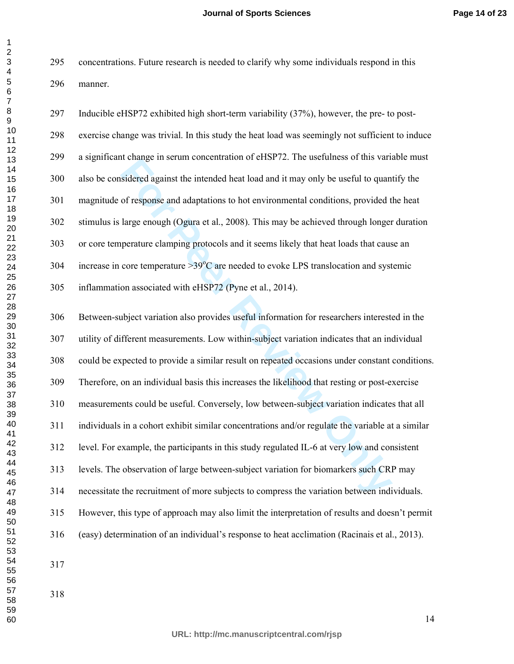295 concentrations. Future research is needed to clarify why some individuals respond in this 296 manner.

297 Inducible eHSP72 exhibited high short-term variability (37%), however, the pre- to post-298 exercise change was trivial. In this study the heat load was seemingly not sufficient to induce 299 a significant change in serum concentration of eHSP72. The usefulness of this variable must 300 also be considered against the intended heat load and it may only be useful to quantify the 301 magnitude of response and adaptations to hot environmental conditions, provided the heat 302 stimulus is large enough (Ogura et al., 2008). This may be achieved through longer duration 303 or core temperature clamping protocols and it seems likely that heat loads that cause an 304 increase in core temperature  $>39^{\circ}$ C are needed to evoke LPS translocation and systemic 305 inflammation associated with eHSP72 (Pyne et al., 2014).

**For Period and Amely III** scann concentration of CHSI 72. The discussions of any sidential sident of parameters and adaptations to hot environmental conditions, provided t large enough (Ogira et al., 2008). This may be ac 306 Between-subject variation also provides useful information for researchers interested in the 307 utility of different measurements. Low within-subject variation indicates that an individual 308 could be expected to provide a similar result on repeated occasions under constant conditions. 309 Therefore, on an individual basis this increases the likelihood that resting or post-exercise 310 measurements could be useful. Conversely, low between-subject variation indicates that all 311 individuals in a cohort exhibit similar concentrations and/or regulate the variable at a similar 312 level. For example, the participants in this study regulated IL-6 at very low and consistent 313 levels. The observation of large between-subject variation for biomarkers such CRP may 314 necessitate the recruitment of more subjects to compress the variation between individuals. 315 However, this type of approach may also limit the interpretation of results and doesn't permit 316 (easy) determination of an individual's response to heat acclimation (Racinais et al., 2013).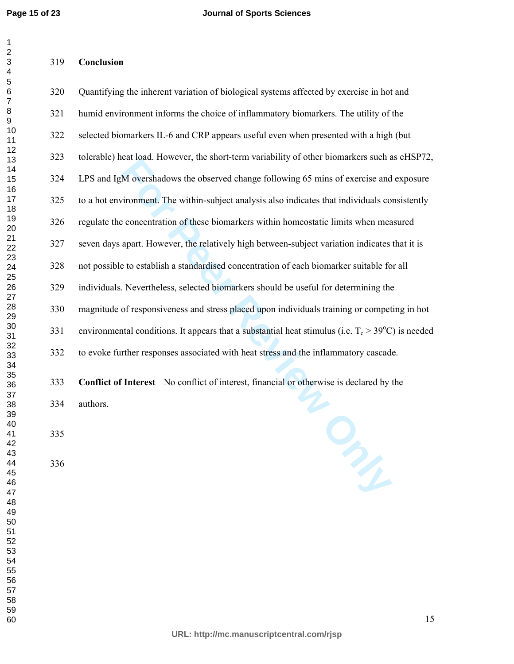**Conclusion** 

#### 

| 320 | Quantifying the inherent variation of biological systems affected by exercise in hot and                    |
|-----|-------------------------------------------------------------------------------------------------------------|
| 321 | humid environment informs the choice of inflammatory biomarkers. The utility of the                         |
| 322 | selected biomarkers IL-6 and CRP appears useful even when presented with a high (but                        |
| 323 | tolerable) heat load. However, the short-term variability of other biomarkers such as eHSP72,               |
| 324 | LPS and IgM overshadows the observed change following 65 mins of exercise and exposure                      |
| 325 | to a hot environment. The within-subject analysis also indicates that individuals consistently              |
| 326 | regulate the concentration of these biomarkers within homeostatic limits when measured                      |
| 327 | seven days apart. However, the relatively high between-subject variation indicates that it is               |
| 328 | not possible to establish a standardised concentration of each biomarker suitable for all                   |
| 329 | individuals. Nevertheless, selected biomarkers should be useful for determining the                         |
| 330 | magnitude of responsiveness and stress placed upon individuals training or competing in hot                 |
| 331 | environmental conditions. It appears that a substantial heat stimulus (i.e. $T_c > 39^{\circ}$ C) is needed |
| 332 | to evoke further responses associated with heat stress and the inflammatory cascade.                        |
|     |                                                                                                             |

**For Peer Review Only Conflict of Interest** No conflict of interest, financial or otherwise is declared by the

334 authors.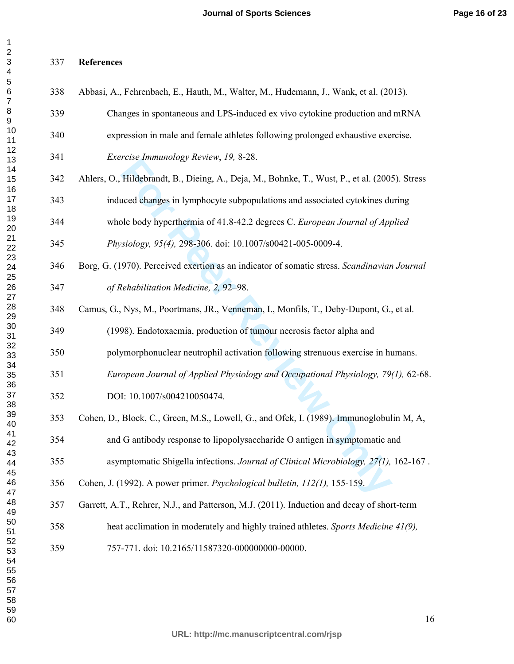#### **References**

| 338 | Abbasi, A., Fehrenbach, E., Hauth, M., Walter, M., Hudemann, J., Wank, et al. (2013).          |
|-----|------------------------------------------------------------------------------------------------|
| 339 | Changes in spontaneous and LPS-induced ex vivo cytokine production and mRNA                    |
| 340 | expression in male and female athletes following prolonged exhaustive exercise.                |
| 341 | Exercise Immunology Review, 19, 8-28.                                                          |
| 342 | Ahlers, O., Hildebrandt, B., Dieing, A., Deja, M., Bohnke, T., Wust, P., et al. (2005). Stress |
| 343 | induced changes in lymphocyte subpopulations and associated cytokines during                   |
| 344 | whole body hyperthermia of 41.8-42.2 degrees C. European Journal of Applied                    |
| 345 | Physiology, 95(4), 298-306. doi: 10.1007/s00421-005-0009-4.                                    |
| 346 | Borg, G. (1970). Perceived exertion as an indicator of somatic stress. Scandinavian Journal    |
| 347 | of Rehabilitation Medicine, 2, 92-98.                                                          |
| 348 | Camus, G., Nys, M., Poortmans, JR., Venneman, I., Monfils, T., Deby-Dupont, G., et al.         |
| 349 | (1998). Endotoxaemia, production of tumour necrosis factor alpha and                           |
| 350 | polymorphonuclear neutrophil activation following strenuous exercise in humans.                |
| 351 | European Journal of Applied Physiology and Occupational Physiology, 79(1), 62-68.              |
| 352 | DOI: 10.1007/s004210050474.                                                                    |
| 353 | Cohen, D., Block, C., Green, M.S., Lowell, G., and Ofek, I. (1989). Immunoglobulin M, A,       |
| 354 | and G antibody response to lipopolysaccharide O antigen in symptomatic and                     |
| 355 | asymptomatic Shigella infections. Journal of Clinical Microbiology, 27(1), 162-167.            |
| 356 | Cohen, J. (1992). A power primer. Psychological bulletin, 112(1), 155-159.                     |
| 357 | Garrett, A.T., Rehrer, N.J., and Patterson, M.J. (2011). Induction and decay of short-term     |
| 358 | heat acclimation in moderately and highly trained athletes. Sports Medicine 41(9),             |
| 359 | 757-771. doi: 10.2165/11587320-000000000-00000.                                                |
|     |                                                                                                |
|     |                                                                                                |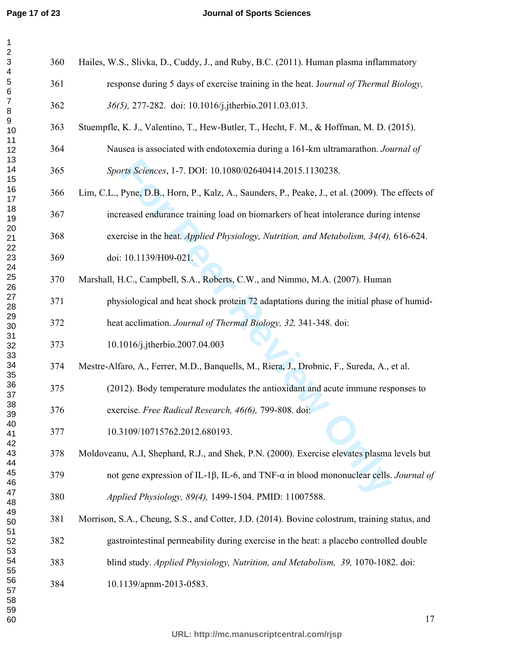#### **Journal of Sports Sciences**

| $\overline{\mathbf{c}}$<br>3      | 360 | Hailes, W.S., Slivka, D., Cuddy, J., and Ruby, B.C. (2011). Human plasma inflammatory                       |
|-----------------------------------|-----|-------------------------------------------------------------------------------------------------------------|
| $\overline{\mathbf{4}}$<br>5<br>6 | 361 | response during 5 days of exercise training in the heat. Journal of Thermal Biology,                        |
| $\boldsymbol{7}$<br>8             | 362 | 36(5), 277-282. doi: 10.1016/j.jtherbio.2011.03.013.                                                        |
| 9<br>10                           | 363 | Stuempfle, K. J., Valentino, T., Hew-Butler, T., Hecht, F. M., & Hoffman, M. D. (2015).                     |
| 11<br>12                          | 364 | Nausea is associated with endotoxemia during a 161-km ultramarathon. Journal of                             |
| 13<br>14                          | 365 | Sports Sciences, 1-7. DOI: 10.1080/02640414.2015.1130238.                                                   |
| 15<br>16<br>17                    | 366 | Lim, C.L., Pyne, D.B., Horn, P., Kalz, A., Saunders, P., Peake, J., et al. (2009). The effects of           |
| 18<br>19                          | 367 | increased endurance training load on biomarkers of heat intolerance during intense                          |
| 20<br>21                          | 368 | exercise in the heat. Applied Physiology, Nutrition, and Metabolism, 34(4), 616-624.                        |
| 22<br>23                          | 369 | doi: 10.1139/H09-021.                                                                                       |
| 24<br>25<br>26                    | 370 | Marshall, H.C., Campbell, S.A., Roberts, C.W., and Nimmo, M.A. (2007). Human                                |
| 27<br>28                          | 371 | physiological and heat shock protein 72 adaptations during the initial phase of humid-                      |
| 29<br>30                          | 372 | heat acclimation. Journal of Thermal Biology, 32, 341-348. doi:                                             |
| 31<br>32                          | 373 | 10.1016/j.jtherbio.2007.04.003                                                                              |
| 33<br>34                          | 374 | Mestre-Alfaro, A., Ferrer, M.D., Banquells, M., Riera, J., Drobnic, F., Sureda, A., et al.                  |
| 35<br>36<br>37                    | 375 | (2012). Body temperature modulates the antioxidant and acute immune responses to                            |
| 38<br>39                          | 376 | exercise. Free Radical Research, 46(6), 799-808. doi:                                                       |
| 40<br>41                          | 377 | 10.3109/10715762.2012.680193.                                                                               |
| 42<br>43                          | 378 | Moldoveanu, A.I, Shephard, R.J., and Shek, P.N. (2000). Exercise elevates plasma levels but                 |
| 44<br>45                          | 379 | not gene expression of IL-1 $\beta$ , IL-6, and TNF- $\alpha$ in blood mononuclear cells. <i>Journal of</i> |
| 46<br>47<br>48                    | 380 | Applied Physiology, 89(4), 1499-1504. PMID: 11007588.                                                       |
| 49<br>50                          | 381 | Morrison, S.A., Cheung, S.S., and Cotter, J.D. (2014). Bovine colostrum, training status, and               |
| 51<br>52                          | 382 | gastrointestinal permeability during exercise in the heat: a placebo controlled double                      |
| 53<br>54                          | 383 | blind study. Applied Physiology, Nutrition, and Metabolism, 39, 1070-1082. doi:                             |
| 55<br>56<br>57                    | 384 | 10.1139/apnm-2013-0583.                                                                                     |
| 58<br>59                          |     |                                                                                                             |
| 60                                |     | 17                                                                                                          |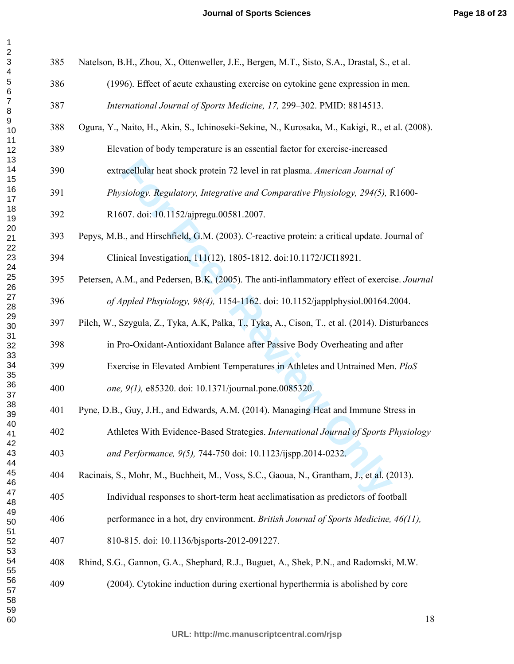| 3<br>$\overline{\mathbf{4}}$ | 385 | Natelson, B.H., Zhou, X., Ottenweller, J.E., Bergen, M.T., Sisto, S.A., Drastal, S., et al.     |
|------------------------------|-----|-------------------------------------------------------------------------------------------------|
| $\overline{5}$<br>$\,6$      | 386 | (1996). Effect of acute exhausting exercise on cytokine gene expression in men.                 |
| $\boldsymbol{7}$<br>$\,8\,$  | 387 | International Journal of Sports Medicine, 17, 299-302. PMID: 8814513.                           |
| 9<br>10                      | 388 | Ogura, Y., Naito, H., Akin, S., Ichinoseki-Sekine, N., Kurosaka, M., Kakigi, R., et al. (2008). |
| 11<br>12                     | 389 | Elevation of body temperature is an essential factor for exercise-increased                     |
| 13<br>14<br>15               | 390 | extracellular heat shock protein 72 level in rat plasma. American Journal of                    |
| 16<br>17                     | 391 | Physiology. Regulatory, Integrative and Comparative Physiology, 294(5), R1600-                  |
| 18<br>19                     | 392 | R1607. doi: 10.1152/ajpregu.00581.2007.                                                         |
| 20<br>21                     | 393 | Pepys, M.B., and Hirschfield, G.M. (2003). C-reactive protein: a critical update. Journal of    |
| 22<br>23<br>24               | 394 | Clinical Investigation, 111(12), 1805-1812. doi:10.1172/JCI18921.                               |
| 25<br>26                     | 395 | Petersen, A.M., and Pedersen, B.K. (2005). The anti-inflammatory effect of exercise. Journal    |
| 27<br>28                     | 396 | of Appled Phsyiology, 98(4), 1154-1162. doi: 10.1152/japplphysiol.00164.2004.                   |
| 29<br>30                     | 397 | Pilch, W., Szygula, Z., Tyka, A.K., Palka, T., Tyka, A., Cison, T., et al. (2014). Disturbances |
| 31<br>32<br>33               | 398 | in Pro-Oxidant-Antioxidant Balance after Passive Body Overheating and after                     |
| 34<br>35                     | 399 | Exercise in Elevated Ambient Temperatures in Athletes and Untrained Men. PloS                   |
| 36<br>37                     | 400 | one, 9(1), e85320. doi: 10.1371/journal.pone.0085320.                                           |
| 38<br>39                     | 401 | Pyne, D.B., Guy, J.H., and Edwards, A.M. (2014). Managing Heat and Immune Stress in             |
| 40<br>41                     | 402 | Athletes With Evidence-Based Strategies. International Journal of Sports Physiology             |
| 42<br>43<br>44               | 403 | and Performance, 9(5), 744-750 doi: 10.1123/ijspp.2014-0232.                                    |
| 45<br>46                     | 404 | Racinais, S., Mohr, M., Buchheit, M., Voss, S.C., Gaoua, N., Grantham, J., et al. (2013).       |
| 47<br>48                     | 405 | Individual responses to short-term heat acclimatisation as predictors of football               |
| 49<br>50                     | 406 | performance in a hot, dry environment. British Journal of Sports Medicine, 46(11),              |
| 51<br>52<br>53               | 407 | 810-815. doi: 10.1136/bjsports-2012-091227.                                                     |
| 54<br>55                     | 408 | Rhind, S.G., Gannon, G.A., Shephard, R.J., Buguet, A., Shek, P.N., and Radomski, M.W.           |
| 56<br>57<br>58               | 409 | (2004). Cytokine induction during exertional hyperthermia is abolished by core                  |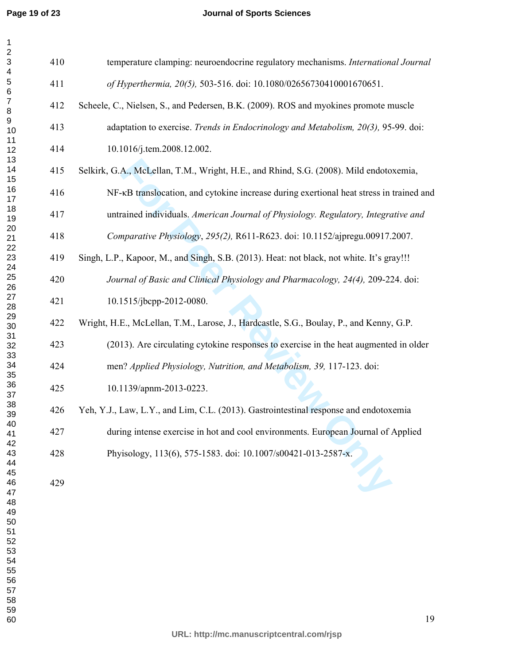**Page 19 of 23**

#### **Journal of Sports Sciences**

| 410 | temperature clamping: neuroendocrine regulatory mechanisms. International Journal         |
|-----|-------------------------------------------------------------------------------------------|
| 411 | of Hyperthermia, 20(5), 503-516. doi: 10.1080/02656730410001670651.                       |
| 412 | Scheele, C., Nielsen, S., and Pedersen, B.K. (2009). ROS and myokines promote muscle      |
| 413 | adaptation to exercise. Trends in Endocrinology and Metabolism, 20(3), 95-99. doi:        |
| 414 | 10.1016/j.tem.2008.12.002.                                                                |
| 415 | Selkirk, G.A., McLellan, T.M., Wright, H.E., and Rhind, S.G. (2008). Mild endotoxemia,    |
| 416 | NF-KB translocation, and cytokine increase during exertional heat stress in trained and   |
| 417 | untrained individuals. American Journal of Physiology. Regulatory, Integrative and        |
| 418 | Comparative Physiology, 295(2), R611-R623. doi: 10.1152/ajpregu.00917.2007.               |
| 419 | Singh, L.P., Kapoor, M., and Singh, S.B. (2013). Heat: not black, not white. It's gray!!! |
| 420 | Journal of Basic and Clinical Physiology and Pharmacology, 24(4), 209-224. doi:           |
| 421 | 10.1515/jbcpp-2012-0080.                                                                  |
| 422 | Wright, H.E., McLellan, T.M., Larose, J., Hardcastle, S.G., Boulay, P., and Kenny, G.P.   |
| 423 | (2013). Are circulating cytokine responses to exercise in the heat augmented in older     |
| 424 | men? Applied Physiology, Nutrition, and Metabolism, 39, 117-123. doi:                     |
| 425 | 10.1139/apnm-2013-0223.                                                                   |
| 426 | Yeh, Y.J., Law, L.Y., and Lim, C.L. (2013). Gastrointestinal response and endotoxemia     |
| 427 | during intense exercise in hot and cool environments. European Journal of Applied         |
| 428 | Phyisology, 113(6), 575-1583. doi: 10.1007/s00421-013-2587-x.                             |
| 429 |                                                                                           |
|     |                                                                                           |
|     |                                                                                           |
|     |                                                                                           |
|     |                                                                                           |
|     |                                                                                           |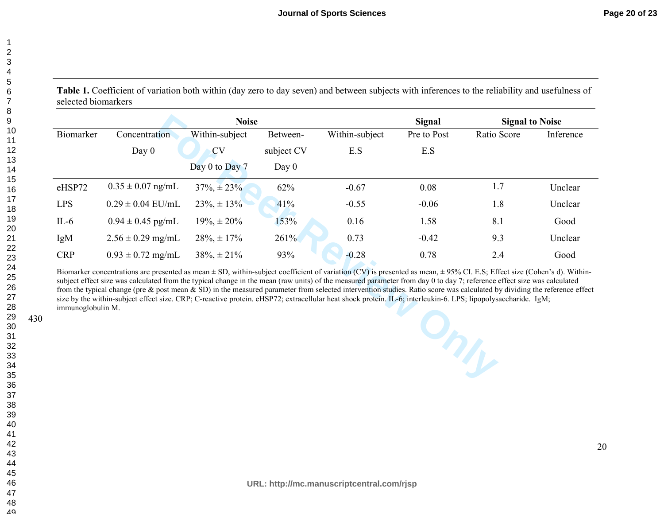49

12

430

Table 1. Coefficient of variation both within (day zero to day seven) and between subjects with inferences to the reliability and usefulness of selected biomarkers

|                                                                                                                                                                                                                                                                                                                                                                                                                                                                                                                                                                                                                                                                                                                             | <b>Noise</b>          |                     |            |                |             | <b>Signal</b><br><b>Signal to Noise</b> |           |  |  |
|-----------------------------------------------------------------------------------------------------------------------------------------------------------------------------------------------------------------------------------------------------------------------------------------------------------------------------------------------------------------------------------------------------------------------------------------------------------------------------------------------------------------------------------------------------------------------------------------------------------------------------------------------------------------------------------------------------------------------------|-----------------------|---------------------|------------|----------------|-------------|-----------------------------------------|-----------|--|--|
| Biomarker                                                                                                                                                                                                                                                                                                                                                                                                                                                                                                                                                                                                                                                                                                                   | Concentration         | Within-subject      | Between-   | Within-subject | Pre to Post | Ratio Score                             | Inference |  |  |
|                                                                                                                                                                                                                                                                                                                                                                                                                                                                                                                                                                                                                                                                                                                             | Day $0$               | <b>CV</b>           | subject CV | E.S            | E.S         |                                         |           |  |  |
|                                                                                                                                                                                                                                                                                                                                                                                                                                                                                                                                                                                                                                                                                                                             |                       | Day $0$ to Day $7$  | Day $0$    |                |             |                                         |           |  |  |
| eHSP72                                                                                                                                                                                                                                                                                                                                                                                                                                                                                                                                                                                                                                                                                                                      | $0.35 \pm 0.07$ ng/mL | $37\%$ , $\pm 23\%$ | 62%        | $-0.67$        | 0.08        | 1.7                                     | Unclear   |  |  |
| <b>LPS</b>                                                                                                                                                                                                                                                                                                                                                                                                                                                                                                                                                                                                                                                                                                                  | $0.29 \pm 0.04$ EU/mL | $23\% + 13\%$       | 41%        | $-0.55$        | $-0.06$     | 1.8                                     | Unclear   |  |  |
| $IL-6$                                                                                                                                                                                                                                                                                                                                                                                                                                                                                                                                                                                                                                                                                                                      | $0.94 \pm 0.45$ pg/mL | $19\%$ , $\pm 20\%$ | 153%       | 0.16           | 1.58        | 8.1                                     | Good      |  |  |
| IgM                                                                                                                                                                                                                                                                                                                                                                                                                                                                                                                                                                                                                                                                                                                         | $2.56 \pm 0.29$ mg/mL | $28\% \pm 17\%$     | 261%       | 0.73           | $-0.42$     | 9.3                                     | Unclear   |  |  |
| <b>CRP</b>                                                                                                                                                                                                                                                                                                                                                                                                                                                                                                                                                                                                                                                                                                                  | $0.93 \pm 0.72$ mg/mL | $38\%$ , $\pm 21\%$ | 93%        | $-0.28$        | 0.78        | 2.4                                     | Good      |  |  |
| Biomarker concentrations are presented as mean $\pm$ SD, within-subject coefficient of variation (CV) is presented as mean, $\pm$ 95% CI. E.S; Effect size (Cohen's d). Within-<br>subject effect size was calculated from the typical change in the mean (raw units) of the measured parameter from day 0 to day 7; reference effect size was calculated<br>from the typical change (pre & post mean & SD) in the measured parameter from selected intervention studies. Ratio score was calculated by dividing the reference effect<br>size by the within-subject effect size. CRP; C-reactive protein. eHSP72; extracellular heat shock protein. IL-6; interleukin-6. LPS; lipopolysaccharide. IgM;<br>immunoglobulin M. |                       |                     |            |                |             |                                         |           |  |  |
|                                                                                                                                                                                                                                                                                                                                                                                                                                                                                                                                                                                                                                                                                                                             |                       |                     |            |                |             |                                         |           |  |  |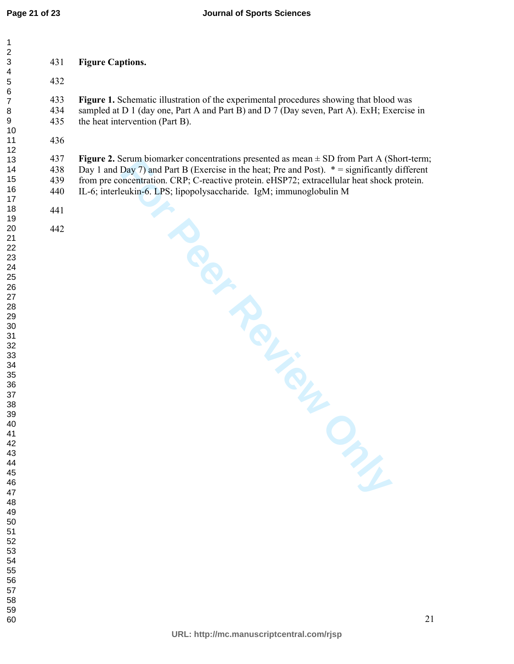**Figure 1.** Schematic illustration of the experimental procedures showing that blood was

434 sampled at D 1 (day one, Part A and Part B) and D 7 (Day seven, Part A). ExH; Exercise in the heat intervention (Part B).

**Figure 2.** Serum biomarker concentrations presented as mean ± SD from Part A (Short-term; 438 Day 1 and Day 7) and Part B (Exercise in the heat; Pre and Post).  $* =$  significantly different from pre concentration. CRP; C-reactive protein. eHSP72; extracellular heat shock protein. 439 from pre concentration. CRP; C-reactive protein. eHSP72; extracellular heat shock protein.

440 IL-6; interleukin-6. LPS; lipopolysaccharide. IgM; immunoglobulin M

| 3              |  |
|----------------|--|
| 4              |  |
| 5              |  |
| 6              |  |
| 7              |  |
| 8              |  |
| 9              |  |
| 10             |  |
| 11             |  |
| 12             |  |
| 13             |  |
| 14             |  |
| 15             |  |
| 16             |  |
| 17             |  |
| 18             |  |
|                |  |
| 19<br>20<br>21 |  |
|                |  |
| 22             |  |
| 23             |  |
| 24             |  |
| 25             |  |
| 26             |  |
| 27             |  |
| 28             |  |
| 29             |  |
| 30             |  |
| 31             |  |
| 32             |  |
| 33             |  |
| 34             |  |
| 35             |  |
| 36             |  |
| 37             |  |
| 38             |  |
| 39             |  |
| 40             |  |
| 41             |  |
| 42             |  |
| 43             |  |
| 44             |  |
| 45             |  |
| 46             |  |
| 47             |  |
| 48             |  |
| 49             |  |
| 50             |  |
|                |  |
| 51<br>52       |  |
| 53             |  |
| 54             |  |
| 55             |  |
| 56             |  |
| 57             |  |
| 58             |  |
|                |  |
| 59             |  |

### **Figure Captions.**

the heat intervention (Part B).

**For Perform Boomarker concentrations presented as mean = SD rrom Part A (S. Party)**<br>Day 7) and Part B (Exercise in the heat; Pre and Post). \* = significantly<br>incentration. CRP; C-reactive protein. eHSP72; extracellular he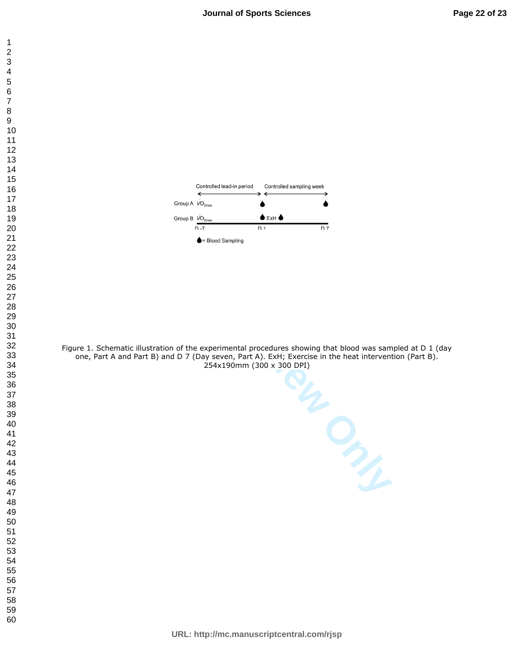



Figure 1. Schematic illustration of the experimental procedures showing that blood was sampled at D 1 (day one, Part A and Part B) and D 7 (Day seven, Part A). ExH; Exercise in the heat intervention (Part B). 254x190mm (300 x 300 DPI)